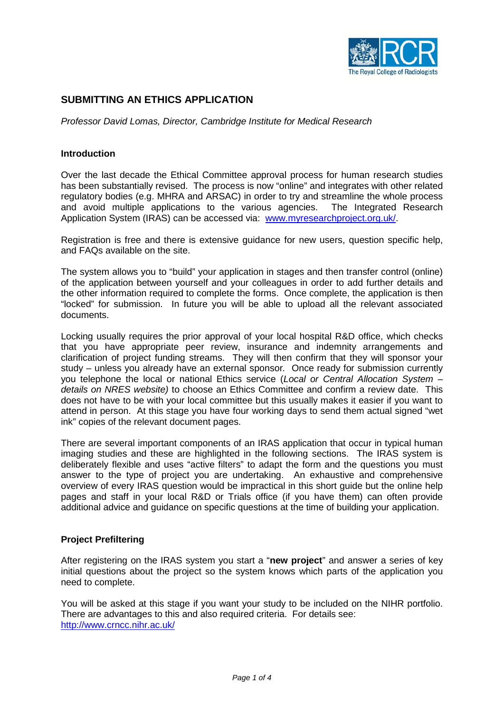

# **SUBMITTING AN ETHICS APPLICATION**

*Professor David Lomas, Director, Cambridge Institute for Medical Research*

### **Introduction**

Over the last decade the Ethical Committee approval process for human research studies has been substantially revised. The process is now "online" and integrates with other related regulatory bodies (e.g. MHRA and ARSAC) in order to try and streamline the whole process and avoid multiple applications to the various agencies. The Integrated Research Application System (IRAS) can be accessed via: [www.myresearchproject.org.uk/](http://www.myresearchproject.org.uk/).

Registration is free and there is extensive guidance for new users, question specific help, and FAQs available on the site.

The system allows you to "build" your application in stages and then transfer control (online) of the application between yourself and your colleagues in order to add further details and the other information required to complete the forms. Once complete, the application is then "locked" for submission. In future you will be able to upload all the relevant associated documents.

Locking usually requires the prior approval of your local hospital R&D office, which checks that you have appropriate peer review, insurance and indemnity arrangements and clarification of project funding streams. They will then confirm that they will sponsor your study – unless you already have an external sponsor*.* Once ready for submission currently you telephone the local or national Ethics service (*Local or Central Allocation System – details on NRES website)* to choose an Ethics Committee and confirm a review date. This does not have to be with your local committee but this usually makes it easier if you want to attend in person. At this stage you have four working days to send them actual signed "wet ink" copies of the relevant document pages.

There are several important components of an IRAS application that occur in typical human imaging studies and these are highlighted in the following sections. The IRAS system is deliberately flexible and uses "active filters" to adapt the form and the questions you must answer to the type of project you are undertaking. An exhaustive and comprehensive overview of every IRAS question would be impractical in this short guide but the online help pages and staff in your local R&D or Trials office (if you have them) can often provide additional advice and guidance on specific questions at the time of building your application.

#### **Project Prefiltering**

After registering on the IRAS system you start a "**new project**" and answer a series of key initial questions about the project so the system knows which parts of the application you need to complete.

You will be asked at this stage if you want your study to be included on the NIHR portfolio. There are advantages to this and also required criteria. For details see: <http://www.crncc.nihr.ac.uk/>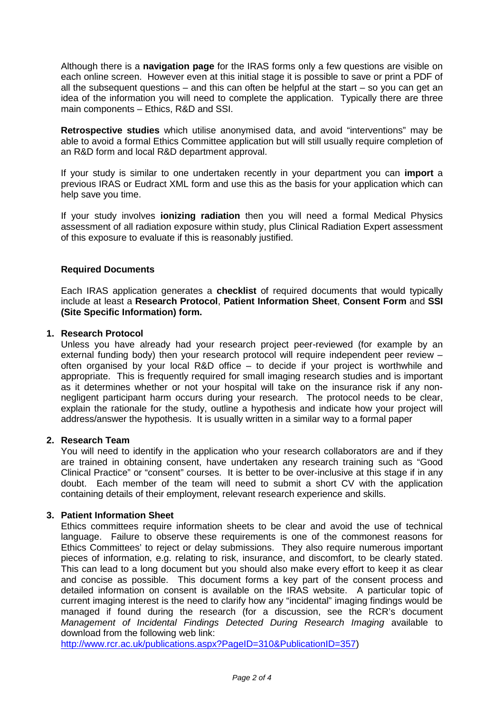Although there is a **navigation page** for the IRAS forms only a few questions are visible on each online screen. However even at this initial stage it is possible to save or print a PDF of all the subsequent questions  $-$  and this can often be helpful at the start  $-$  so you can get an idea of the information you will need to complete the application. Typically there are three main components – Ethics, R&D and SSI.

**Retrospective studies** which utilise anonymised data, and avoid "interventions" may be able to avoid a formal Ethics Committee application but will still usually require completion of an R&D form and local R&D department approval.

If your study is similar to one undertaken recently in your department you can **import** a previous IRAS or Eudract XML form and use this as the basis for your application which can help save you time.

If your study involves **ionizing radiation** then you will need a formal Medical Physics assessment of all radiation exposure within study, plus Clinical Radiation Expert assessment of this exposure to evaluate if this is reasonably justified.

## **Required Documents**

Each IRAS application generates a **checklist** of required documents that would typically include at least a **Research Protocol**, **Patient Information Sheet**, **Consent Form** and **SSI (Site Specific Information) form.**

### **1. Research Protocol**

Unless you have already had your research project peer-reviewed (for example by an external funding body) then your research protocol will require independent peer review – often organised by your local R&D office – to decide if your project is worthwhile and appropriate. This is frequently required for small imaging research studies and is important as it determines whether or not your hospital will take on the insurance risk if any nonnegligent participant harm occurs during your research. The protocol needs to be clear, explain the rationale for the study, outline a hypothesis and indicate how your project will address/answer the hypothesis. It is usually written in a similar way to a formal paper

## **2. Research Team**

You will need to identify in the application who your research collaborators are and if they are trained in obtaining consent, have undertaken any research training such as "Good Clinical Practice" or "consent" courses. It is better to be over-inclusive at this stage if in any doubt. Each member of the team will need to submit a short CV with the application containing details of their employment, relevant research experience and skills.

#### **3. Patient Information Sheet**

Ethics committees require information sheets to be clear and avoid the use of technical language. Failure to observe these requirements is one of the commonest reasons for Ethics Committees' to reject or delay submissions. They also require numerous important pieces of information, e.g. relating to risk, insurance, and discomfort, to be clearly stated. This can lead to a long document but you should also make every effort to keep it as clear and concise as possible. This document forms a key part of the consent process and detailed information on consent is available on the IRAS website. A particular topic of current imaging interest is the need to clarify how any "incidental" imaging findings would be managed if found during the research (for a discussion, see the RCR's document *Management of Incidental Findings Detected During Research Imaging* available to download from the following web link:

[http://www.rcr.ac.uk/publications.aspx?PageID=310&PublicationID=357\)](http://www.rcr.ac.uk/publications.aspx?PageID=310&PublicationID=357)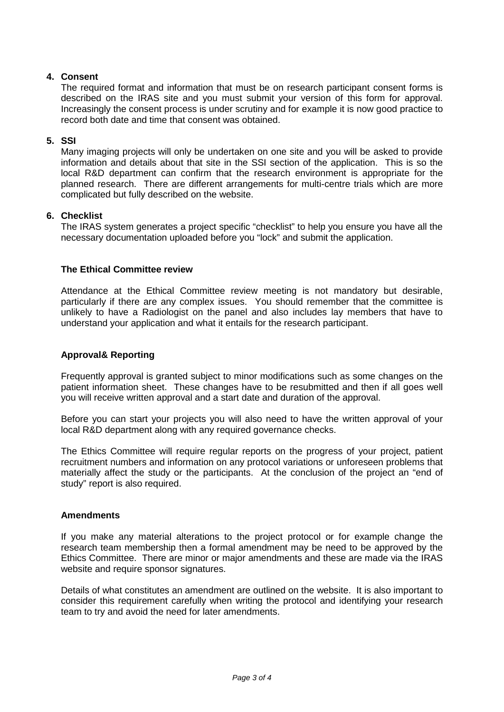# **4. Consent**

The required format and information that must be on research participant consent forms is described on the IRAS site and you must submit your version of this form for approval. Increasingly the consent process is under scrutiny and for example it is now good practice to record both date and time that consent was obtained.

## **5. SSI**

Many imaging projects will only be undertaken on one site and you will be asked to provide information and details about that site in the SSI section of the application. This is so the local R&D department can confirm that the research environment is appropriate for the planned research. There are different arrangements for multi-centre trials which are more complicated but fully described on the website.

### **6. Checklist**

The IRAS system generates a project specific "checklist" to help you ensure you have all the necessary documentation uploaded before you "lock" and submit the application.

### **The Ethical Committee review**

Attendance at the Ethical Committee review meeting is not mandatory but desirable, particularly if there are any complex issues. You should remember that the committee is unlikely to have a Radiologist on the panel and also includes lay members that have to understand your application and what it entails for the research participant.

## **Approval& Reporting**

Frequently approval is granted subject to minor modifications such as some changes on the patient information sheet. These changes have to be resubmitted and then if all goes well you will receive written approval and a start date and duration of the approval.

Before you can start your projects you will also need to have the written approval of your local R&D department along with any required governance checks.

The Ethics Committee will require regular reports on the progress of your project, patient recruitment numbers and information on any protocol variations or unforeseen problems that materially affect the study or the participants. At the conclusion of the project an "end of study" report is also required.

#### **Amendments**

If you make any material alterations to the project protocol or for example change the research team membership then a formal amendment may be need to be approved by the Ethics Committee. There are minor or major amendments and these are made via the IRAS website and require sponsor signatures.

Details of what constitutes an amendment are outlined on the website. It is also important to consider this requirement carefully when writing the protocol and identifying your research team to try and avoid the need for later amendments.